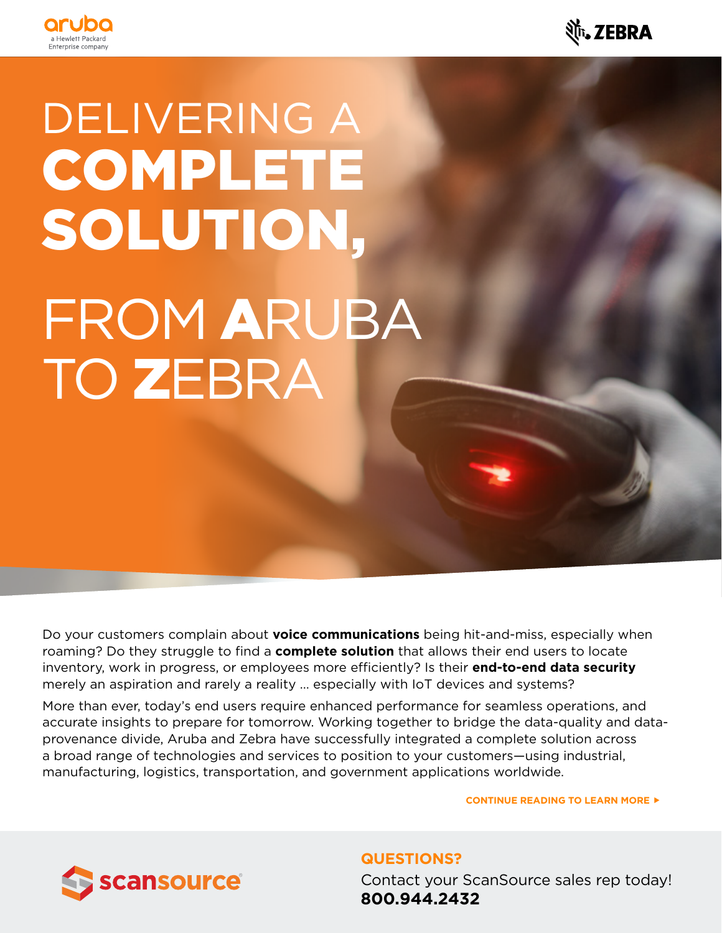



# DELIVERING A COMPLETE SOLUTION, FROM ARUBA TO ZEBRA

merely an aspiration and rarely a reality … especially with IoT devices and systems? Do your customers complain about **voice communications** being hit-and-miss, especially when roaming? Do they struggle to find a **complete solution** that allows their end users to locate inventory, work in progress, or employees more efficiently? Is their **end-to-end data security**

More than ever, today's end users require enhanced performance for seamless operations, and accurate insights to prepare for tomorrow. Working together to bridge the data-quality and dataprovenance divide, Aruba and Zebra have successfully integrated a complete solution across services. You're encouraged to dig deeper and explore a broad range of technologies and services to position to your customers—using industrial, manufacturing, logistics, transportation, and government applications worldwide.

> Zebra supplier teams. **CONTINUE READING TO LEARN MORE**



**QUESTIONS?** Contact your ScanSource sales rep today! **800.944.2432**